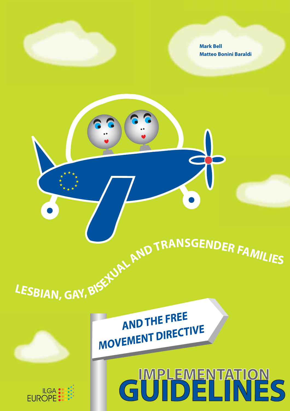

# GUIDELINES

AND THE FREE MOVEMENT DIRECTIVE

LESBIAN, GAY, BISETUAL AND TRANSGENDER FAMILIES

**Mark Bell Matteo Bonini Baraldi**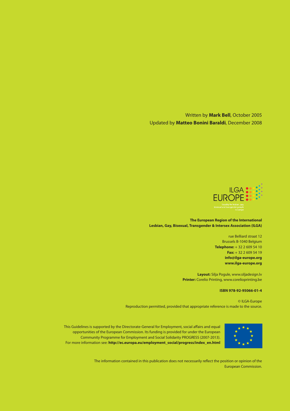Written by **Mark Bell**, October 2005 Updated by **Matteo Bonini Baraldi**, December 2008



**The European Region of the International Lesbian, Gay, Bisexual, Transgender & Intersex Association (ILGA)**

> rue Belliard straat 12 Brussels B-1040 Belgium **Telephone:** + 32 2 609 54 10 **Fax:** + 32 2 609 54 19 **info@ilga-europe.org www.ilga-europe.org**

**Layout:** Silja Pogule, www.siljadesign.lv **Printer:** Corelio Printing, www.corelioprinting.be

**ISBN 978-92-95066-01-4**

© ILGA-Europe Reproduction permitted, provided that appropriate reference is made to the source.



This Guidelines is supported by the Directorate-General for Employment, social affairs and equal opportunities of the European Commission. Its funding is provided for under the European Community Programme for Employment and Social Solidarity PROGRESS (2007-2013). For more information see: **http://ec.europa.eu/employment\_social/progress/index\_en.html**

> The information contained in this publication does not necessarily reflect the position or opinion of the European Commission.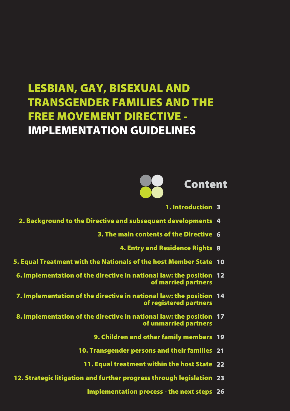### **LESBIAN, GAY, BISEXUAL AND TRANSGENDER FAMILIES AND THE FREE MOVEMENT DIRECTIVE - IMPLEMENTATION GUIDELINES**

### **Content**



- **1. Introduction 3**
- **2. Background to the Directive and subsequent developments 4**
	- **3. The main contents of the Directive 6**
		- **4. Entry and Residence Rights 8**
- **5. Equal Treatment with the Nationals of the host Member State 10**
- **6. Implementation of the directive in national law: the position 12 of married partners**
- **7. Implementation of the directive in national law: the position 14 of registered partners**
- **8. Implementation of the directive in national law: the position 17 of unmarried partners**
	- **9. Children and other family members 19**
	- **10. Transgender persons and their families 21**
		- **11. Equal treatment within the host State 22**
- **12. Strategic litigation and further progress through legislation 23**
	- **Implementation process the next steps 26**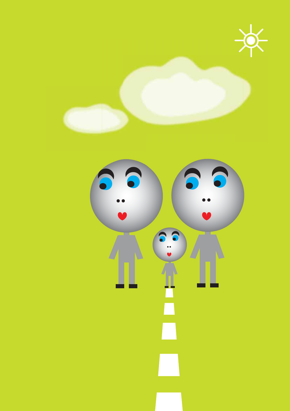

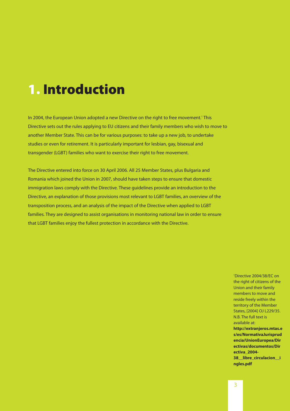### **1. Introduction**

In 2004, the European Union adopted a new Directive on the right to free movement.<sup>1</sup> This Directive sets out the rules applying to EU citizens and their family members who wish to move to another Member State. This can be for various purposes: to take up a new job, to undertake studies or even for retirement. It is particularly important for lesbian, gay, bisexual and transgender (LGBT) families who want to exercise their right to free movement.

The Directive entered into force on 30 April 2006. All 25 Member States, plus Bulgaria and Romania which joined the Union in 2007, should have taken steps to ensure that domestic immigration laws comply with the Directive. These guidelines provide an introduction to the Directive, an explanation of those provisions most relevant to LGBT families, an overview of the transposition process, and an analysis of the impact of the Directive when applied to LGBT families. They are designed to assist organisations in monitoring national law in order to ensure that LGBT families enjoy the fullest protection in accordance with the Directive.

> 1 Directive 2004/38/EC on the right of citizens of the Union and their family members to move and reside freely within the territory of the Member States, [2004] OJ L229/35. N.B. The full text is available at: **http://extranjeros.mtas.e s/es/NormativaJurisprud encia/UnionEuropea/Dir ectivas/documentos/Dir ectiva\_2004- 38\_\_libre\_circulacion\_\_i ngles.pdf**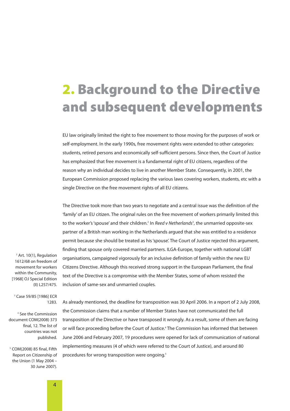### **2. Background to the Directive and subsequent developments**

EU law originally limited the right to free movement to those moving for the purposes of work or self-employment. In the early 1990s, free movement rights were extended to other categories: students, retired persons and economically self-sufficient persons. Since then, the Court of Justice has emphasized that free movement is a fundamental right of EU citizens, regardless of the reason why an individual decides to live in another Member State. Consequently, in 2001, the European Commission proposed replacing the various laws covering workers, students, etc with a single Directive on the free movement rights of all EU citizens.

The Directive took more than two years to negotiate and a central issue was the definition of the 'family' of an EU citizen. The original rules on the free movement of workers primarily limited this to the worker's 'spouse' and their children.<sup>2</sup> In *Reed v Netherlands*<sup>3</sup>, the unmarried opposite-sex partner of a British man working in the Netherlands argued that she was entitled to a residence permit because she should be treated as his 'spouse'. The Court of Justice rejected this argument, finding that spouse only covered married partners. ILGA-Europe, together with national LGBT organisations, campaigned vigorously for an inclusive definition of family within the new EU Citizens Directive. Although this received strong support in the European Parliament, the final text of the Directive is a compromise with the Member States, some of whom resisted the inclusion of same-sex and unmarried couples.

<sup>2</sup> Art. 10(1), Regulation 1612/68 on freedom of movement for workers within the Community, [1968] OJ Special Edition (II) L257/475.

<sup>3</sup> Case 59/85 [1986] ECR 1283.

<sup>4</sup> See the Commission document COM(2008) 373 final, 12. The list of countries was not published.

<sup>5</sup> COM(2008) 85 final, Fifth Report on Citizenship of the Union (1 May 2004 – 30 June 2007).

As already mentioned, the deadline for transposition was 30 April 2006. In a report of 2 July 2008, the Commission claims that a number of Member States have not communicated the full transposition of the Directive or have transposed it wrongly. As a result, some of them are facing or will face proceeding before the Court of Justice.<sup>4</sup> The Commission has informed that between June 2006 and February 2007, 19 procedures were opened for lack of communication of national implementing measures (4 of which were referred to the Court of Justice), and around 80 procedures for wrong transposition were ongoing.<sup>5</sup>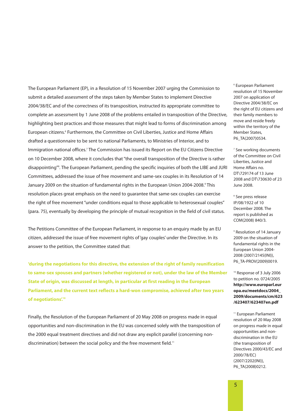The European Parliament (EP), in a Resolution of 15 November 2007 urging the Commission to submit a detailed assessment of the steps taken by Member States to implement Directive 2004/38/EC and of the correctness of its transposition, instructed its appropriate committee to complete an assessment by 1 June 2008 of the problems entailed in transposition of the Directive, highlighting best practices and those measures that might lead to forms of discrimination among European citizens.<sup>6</sup> Furthermore, the Committee on Civil Liberties, Justice and Home Affairs drafted a questionnaire to be sent to national Parliaments, to Ministries of Interior, and to Immigration national offices.<sup>7</sup> The Commission has issued its Report on the EU Citizens Directive on 10 December 2008, where it concludes that "the overall transposition of the Directive is rather disappointing"<sup>8</sup>. The European Parliament, pending the specific inquiries of both the LIBE and JURI Committees, addressed the issue of free movement and same-sex couples in its Resolution of 14 January 2009 on the situation of fundamental rights in the European Union 2004-2008.<sup>9</sup> This resolution places great emphasis on the need to guarantee that same-sex couples can exercise the right of free movement "under conditions equal to those applicable to heterosexual couples" (para. 75), eventually by developing the principle of mutual recognition in the field of civil status.

The Petitions Committee of the European Parliament, in response to an enquiry made by an EU citizen, addressed the issue of free movement rights of 'gay couples' under the Directive. In its answer to the petition, the Committee stated that:

**'during the negotiations for this directive, the extension of the right of family reunification to same-sex spouses and partners (whether registered or not), under the law of the Member State of origin, was discussed at length, in particular at first reading in the European Parliament, and the current text reflects a hard-won compromise, achieved after two years of negotiations'.10**

Finally, the Resolution of the European Parliament of 20 May 2008 on progress made in equal opportunities and non-discrimination in the EU was concerned solely with the transposition of the 2000 equal treatment directives and did not draw any explicit parallel (concerning nondiscrimination) between the social policy and the free movement field.<sup>11</sup>

<sup>6</sup> European Parliament resolution of 15 November 2007 on application of Directive 2004/38/EC on the right of EU citizens and their family members to move and reside freely within the territory of the Member States, P6\_TA(2007)0534.

<sup>7</sup> See working documents of the Committee on Civil Liberties, Justice and Home Affairs no. DT\729174 of 13 June 2008 and DT\730630 of 23 June 2008.

<sup>8</sup> See press release IP/08/1922 of 10 December 2008. The report is published as COM(2008) 840/3.

<sup>9</sup> Resolution of 14 January 2009 on the situation of fundamental rights in the European Union 2004- 2008 (2007/2145(INI)), P6\_TA-PROV(2009)0019.

<sup>10</sup> Response of 3 July 2006 to petition no. 0724/2005 **http://www.europarl.eur opa.eu/meetdocs/2004\_ 2009/documents/cm/623 /623407/623407en.pdf** 

<sup>11</sup> European Parliament resolution of 20 May 2008 on progress made in equal opportunities and nondiscrimination in the EU (the transposition of Directives 2000/43/EC and 2000/78/EC) (2007/2202(INI)), P6\_TA(2008)0212.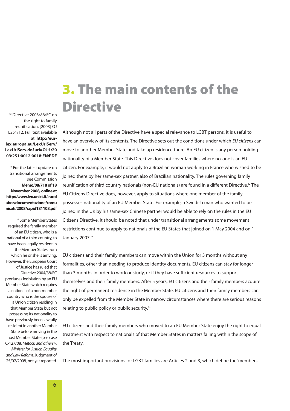# **3. The main contents of the Directive**

<sup>12</sup> Directive 2003/86/EC on the right to family reunification, [2003] OJ L251/12. Full text available at: **http://eurlex.europa.eu/LexUriServ/ LexUriServ.do?uri=OJ:L:20 03:251:0012:0018:EN:PDF**

<sup>13</sup> For the latest update on transitional arrangements see Commission **Memo/08/718 of 18 November 2008, online at http://www.lex.unict.it/eurol abor/documentazione/comu nicati/2008/rapid181108.pdf** 

<sup>14</sup> Some Member States required the family member of an EU citizen, who is a national of a third country, to have been legally resident in the Member States from which he or she is arriving. However, the European Court of Justice has ruled that Directive 2004/38/EC precludes legislation by an EU Member State which requires a national of a non-member country who is the spouse of a Union citizen residing in that Member State but not possessing its nationality to have previously been lawfully resident in another Member State before arriving in the host Member State (see case C-127/08, Metock and others v. Minister for Justice, Equality and Law Reform, Judgment of 25/07/2008, not yet reported.

Although not all parts of the Directive have a special relevance to LGBT persons, it is useful to have an overview of its contents. The Directive sets out the conditions under which EU citizens can move to another Member State and take up residence there. An EU citizen is any person holding nationality of a Member State. This Directive does not cover families where no-one is an EU citizen. For example, it would not apply to a Brazilian woman working in France who wished to be joined there by her same-sex partner, also of Brazilian nationality. The rules governing family reunification of third country nationals (non-EU nationals) are found in a different Directive.12 The EU Citizens Directive does, however, apply to situations where one member of the family possesses nationality of an EU Member State. For example, a Swedish man who wanted to be joined in the UK by his same-sex Chinese partner would be able to rely on the rules in the EU Citizens Directive. It should be noted that under transitional arrangements some movement restrictions continue to apply to nationals of the EU States that joined on 1 May 2004 and on 1 January 2007.<sup>13</sup>

EU citizens and their family members can move within the Union for 3 months without any formalities, other than needing to produce identity documents. EU citizens can stay for longer than 3 months in order to work or study, or if they have sufficient resources to support themselves and their family members. After 5 years, EU citizens and their family members acquire the right of permanent residence in the Member State. EU citizens and their family members can only be expelled from the Member State in narrow circumstances where there are serious reasons relating to public policy or public security.14

EU citizens and their family members who moved to an EU Member State enjoy the right to equal treatment with respect to nationals of that Member States in matters falling within the scope of the Treaty.

The most important provisions for LGBT families are Articles 2 and 3, which define the 'members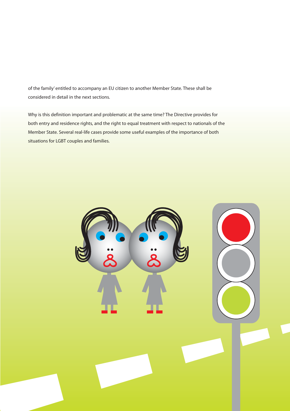of the family' entitled to accompany an EU citizen to another Member State. These shall be considered in detail in the next sections.

Why is this definition important and problematic at the same time? The Directive provides for both entry and residence rights, and the right to equal treatment with respect to nationals of the Member State. Several real-life cases provide some useful examples of the importance of both situations for LGBT couples and families.

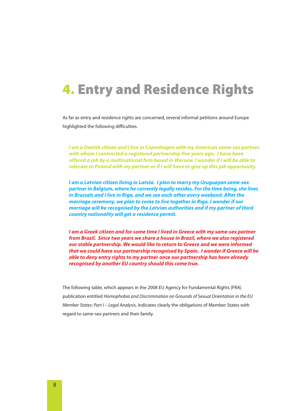### **4. Entry and Residence Rights**

As far as entry and residence rights are concerned, several informal petitions around Europe highlighted the following difficulties.

*I am a Danish citizen and I live in Copenhagen with my American same-sex partner, with whom I contracted a registered partnership five years ago. I have been offered a job by a multinational firm based in Warsaw. I wonder if I will be able to relocate to Poland with my partner or if I will have to give up this job opportunity.*

*I am a Latvian citizen living in Latvia. I plan to marry my Uruguayan same-sex partner in Belgium, where he currently legally resides. For the time being, she lives in Brussels and I live in Riga, and we see each other every weekend. After the marriage ceremony, we plan to come to live together in Riga. I wonder if our marriage will be recognised by the Latvian authorities and if my partner of third country nationality will get a residence permit.* 

*I am a Greek citizen and for some time I lived in Greece with my same-sex partner from Brazil. Since two years we share a house in Brazil, where we also registered our stable partnership. We would like to return to Greece and we were informed that we could have our partnership recognised by Spain. I wonder if Greece will be able to deny entry rights to my partner once our partnership has been already recognised by another EU country should this come true.*

The following table, which appears in the 2008 EU Agency for Fundamental Rights (FRA) publication entitled Homophobia and Discrimination on Grounds of Sexual Orientation in the EU Member States: Part I - Legal Analysis, indicates clearly the obligations of Member States with regard to same-sex partners and their family.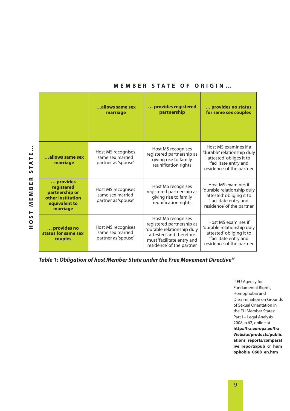|                                                                                            | allows same sex<br>marriage                                   | provides registered<br>partnership                                                                                                                                  | provides no status<br>for same sex couples                                                                                            |
|--------------------------------------------------------------------------------------------|---------------------------------------------------------------|---------------------------------------------------------------------------------------------------------------------------------------------------------------------|---------------------------------------------------------------------------------------------------------------------------------------|
| allows same sex<br>marriage                                                                | Host MS recognises<br>same sex married<br>partner as 'spouse' | Host MS recognises<br>registered partnership as<br>giving rise to family<br>reunification rights                                                                    | Host MS examines if a<br>'durable' relationship duly<br>attested' obliges it to<br>'facilitate entry and<br>residence' of the partner |
| provides<br>registered<br>partnership or<br>other institution<br>equivalent to<br>marriage | Host MS recognises<br>same sex married<br>partner as 'spouse' | Host MS recognises<br>registered partnership as<br>giving rise to family<br>reunification rights                                                                    | Host MS examines if<br>'durable relationship duly<br>attested' obliging it to<br>'facilitate entry and<br>residence' of the partner   |
| provides no<br>status for same sex<br>couples                                              | Host MS recognises<br>same sex married<br>partner as 'spouse' | Host MS recognises<br>registered partnership as<br>'durable relationship duly<br>attested' and therefore<br>must 'facilitate entry and<br>residence' of the partner | Host MS examines if<br>'durable relationship duly<br>attested' obliging it to<br>'facilitate entry and<br>residence' of the partner   |

#### **MEMBER STATE OF ORIGIN…**

*Table 1: Obligation of host Member State under the Free Movement Directive15*

<sup>15</sup> EU Agency for Fundamental Rights, Homophobia and Discrimination on Grounds of Sexual Orientation in the EU Member States: Part I – Legal Analysis, 2008, p.62, online at **http://fra.europa.eu/fra Website/products/public ations\_reports/comparat ive\_reports/pub\_cr\_hom ophobia\_0608\_en.htm**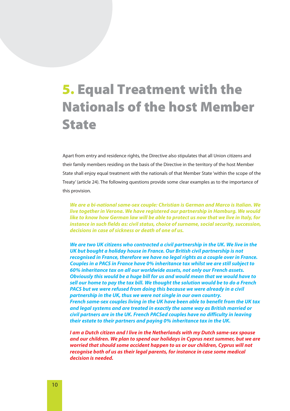### **5. Equal Treatment with the Nationals of the host Member State**

Apart from entry and residence rights, the Directive also stipulates that all Union citizens and their family members residing on the basis of the Directive in the territory of the host Member State shall enjoy equal treatment with the nationals of that Member State 'within the scope of the Treaty' (article 24). The following questions provide some clear examples as to the importance of this provision.

*We are a bi-national same-sex couple: Christian is German and Marco is Italian. We live together in Verona. We have registered our partnership in Hamburg. We would like to know how German law will be able to protect us now that we live in Italy, for instance in such fields as: civil status, choice of surname, social security, succession, decisions in case of sickness or death of one of us.* 

*We are two UK citizens who contracted a civil partnership in the UK. We live in the UK but bought a holiday house in France. Our British civil partnership is not recognised in France, therefore we have no legal rights as a couple over in France. Couples in a PACS in France have 0% inheritance tax whilst we are still subject to 60% inheritance tax on all our worldwide assets, not only our French assets. Obviously this would be a huge bill for us and would mean that we would have to sell our home to pay the tax bill. We thought the solution would be to do a French PACS but we were refused from doing this because we were already in a civil partnership in the UK, thus we were not single in our own country. French same-sex couples living in the UK have been able to benefit from the UK tax and legal systems and are treated in exactly the same way as British married or civil partners are in the UK. French PACSed couples have no difficulty in leaving their estate to their partners and paying 0% inheritance tax in the UK.*

*I am a Dutch citizen and I live in the Netherlands with my Dutch same-sex spouse and our children. We plan to spend our holidays in Cyprus next summer, but we are worried that should some accident happen to us or our children, Cyprus will not recognise both of us as their legal parents, for instance in case some medical decision is needed.*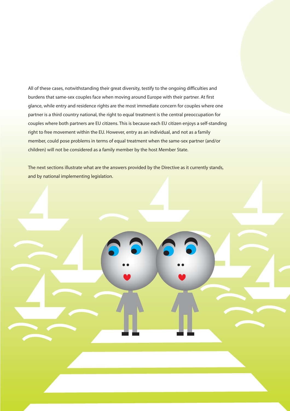All of these cases, notwithstanding their great diversity, testify to the ongoing difficulties and burdens that same-sex couples face when moving around Europe with their partner. At first glance, while entry and residence rights are the most immediate concern for couples where one partner is a third country national, the right to equal treatment is the central preoccupation for couples where both partners are EU citizens. This is because each EU citizen enjoys a self-standing right to free movement within the EU. However, entry as an individual, and not as a family member, could pose problems in terms of equal treatment when the same-sex partner (and/or children) will not be considered as a family member by the host Member State.

The next sections illustrate what are the answers provided by the Directive as it currently stands, and by national implementing legislation.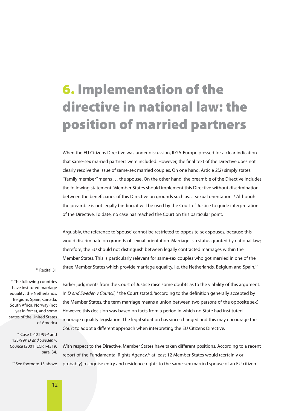# **6. Implementation of the directive in national law: the position of married partners**

When the EU Citizens Directive was under discussion, ILGA-Europe pressed for a clear indication that same-sex married partners were included. However, the final text of the Directive does not clearly resolve the issue of same-sex married couples. On one hand, Article 2(2) simply states: '"family member" means … the spouse'. On the other hand, the preamble of the Directive includes the following statement: 'Member States should implement this Directive without discrimination between the beneficiaries of this Directive on grounds such as... sexual orientation.<sup>16</sup> Although the preamble is not legally binding, it will be used by the Court of Justice to guide interpretation of the Directive. To date, no case has reached the Court on this particular point.

Arguably, the reference to 'spouse' cannot be restricted to opposite-sex spouses, because this would discriminate on grounds of sexual orientation. Marriage is a status granted by national law; therefore, the EU should not distinguish between legally contracted marriages within the Member States. This is particularly relevant for same-sex couples who got married in one of the three Member States which provide marriage equality, i.e. the Netherlands, Belgium and Spain.<sup>17</sup>

<sup>16</sup> Recital 31

<sup>17</sup> The following countries have instituted marriage equality: the Netherlands, Belgium, Spain, Canada, South Africa, Norway (not yet in force), and some states of the United States of America

<sup>18</sup> Case C-122/99P and 125/99P D and Sweden v. Council [2001] ECR I-4319, para. 34.

<sup>19</sup> See footnote 13 above

Earlier judgments from the Court of Justice raise some doubts as to the viability of this argument. In *D and Sweden v Council*,<sup>18</sup> the Court stated: 'according to the definition generally accepted by the Member States, the term marriage means a union between two persons of the opposite sex'. However, this decision was based on facts from a period in which no State had instituted marriage equality legislation. The legal situation has since changed and this may encourage the Court to adopt a different approach when interpreting the EU Citizens Directive.

With respect to the Directive, Member States have taken different positions. According to a recent report of the Fundamental Rights Agency,<sup>19</sup> at least 12 Member States would (certainly or probably) recognise entry and residence rights to the same-sex married spouse of an EU citizen.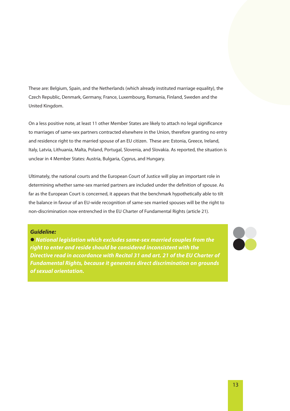These are: Belgium, Spain, and the Netherlands (which already instituted marriage equality), the Czech Republic, Denmark, Germany, France, Luxembourg, Romania, Finland, Sweden and the United Kingdom.

On a less positive note, at least 11 other Member States are likely to attach no legal significance to marriages of same-sex partners contracted elsewhere in the Union, therefore granting no entry and residence right to the married spouse of an EU citizen. These are: Estonia, Greece, Ireland, Italy, Latvia, Lithuania, Malta, Poland, Portugal, Slovenia, and Slovakia. As reported, the situation is unclear in 4 Member States: Austria, Bulgaria, Cyprus, and Hungary.

Ultimately, the national courts and the European Court of Justice will play an important role in determining whether same-sex married partners are included under the definition of spouse. As far as the European Court is concerned, it appears that the benchmark hypothetically able to tilt the balance in favour of an EU-wide recognition of same-sex married spouses will be the right to non-discrimination now entrenched in the EU Charter of Fundamental Rights (article 21).

#### *Guideline:*

**• National legislation which excludes same-sex married couples from the** *right to enter and reside should be considered inconsistent with the Directive read in accordance with Recital 31 and art. 21 of the EU Charter of Fundamental Rights, because it generates direct discrimination on grounds of sexual orientation.* 

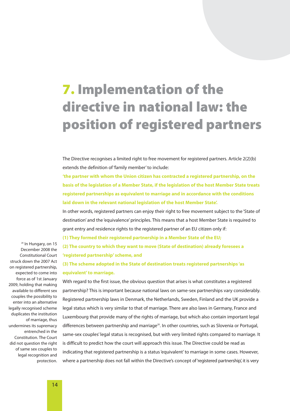# **7. Implementation of the directive in national law: the position of registered partners**

The Directive recognises a limited right to free movement for registered partners. Article 2(2)(b) extends the definition of 'family member' to include:

**'the partner with whom the Union citizen has contracted a registered partnership, on the basis of the legislation of a Member State, if the legislation of the host Member State treats registered partnerships as equivalent to marriage and in accordance with the conditions laid down in the relevant national legislation of the host Member State'.**

In other words, registered partners can enjoy their right to free movement subject to the 'State of destination' and the 'equivalence' principles. This means that a host Member State is required to grant entry and residence rights to the registered partner of an EU citizen only if:

**(1) They formed their registered partnership in a Member State of the EU;**

**(2) The country to which they want to move (State of destination) already foresees a 'registered partnership' scheme, and**

#### **(3) The scheme adopted in the State of destination treats registered partnerships 'as equivalent' to marriage.**

With regard to the first issue, the obvious question that arises is what constitutes a registered partnership? This is important because national laws on same-sex partnerships vary considerably. Registered partnership laws in Denmark, the Netherlands, Sweden, Finland and the UK provide a legal status which is very similar to that of marriage. There are also laws in Germany, France and Luxembourg that provide many of the rights of marriage, but which also contain important legal differences between partnership and marriage<sup>20</sup>. In other countries, such as Slovenia or Portugal, same-sex couples' legal status is recognised, but with very limited rights compared to marriage. It is difficult to predict how the court will approach this issue. The Directive could be read as indicating that registered partnership is a status 'equivalent' to marriage in some cases. However, where a partnership does not fall within the Directive's concept of 'registered partnership', it is very

<sup>20</sup> In Hungary, on 15 December 2008 the Constitutional Court struck down the 2007 Act on registered partnership, expected to come into force as of 1st January 2009, holding that making available to different sex couples the possibility to enter into an alternative legally recognised scheme duplicates the institution of marriage, thus undermines its supremacy entrenched in the Constitution. The Court did not question the right of same sex couples to legal recognition and protection.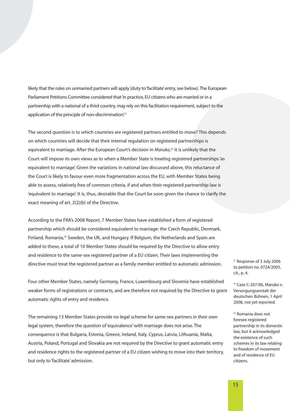likely that the rules on unmarried partners will apply (duty to 'facilitate'entry, see below). The European Parliament Petitions Committee considered that 'in practice, EU citizens who are married or in a partnership with a national of a third country, may rely on this facilitation requirement, subject to the application of the principle of non-discrimination.<sup>21</sup>

The second question is to which countries are registered partners entitled to move? This depends on which countries will decide that their internal regulation on registered partnerships is equivalent to marriage. After the European Court's decision in Maruko,<sup>22</sup> it is unlikely that the Court will impose its own views as to when a Member State is treating registered partnerships 'as equivalent to marriage'. Given the variations in national law discussed above, this reluctance of the Court is likely to favour even more fragmentation across the EU, with Member States being able to assess, relatively free of common criteria, if and when their registered partnership law is 'equivalent to marriage'. It is, thus, desirable that the Court be soon given the chance to clarify the exact meaning of art. 2(2)(b) of the Directive.

According to the FRA's 2008 Report, 7 Member States have established a form of registered partnership which should be considered equivalent to marriage: the Czech Republic, Denmark, Finland, Romania,<sup>23</sup> Sweden, the UK, and Hungary. If Belgium, the Netherlands and Spain are added to these, a total of 10 Member States should be required by the Directive to allow entry and residence to the same-sex registered partner of a EU citizen. Their laws implementing the directive must treat the registered partner as a family member entitled to automatic admission.

Four other Member States, namely Germany, France, Luxembourg and Slovenia have established weaker forms of registrations or contracts, and are therefore not required by the Directive to grant automatic rights of entry and residence.

The remaining 13 Member States provide no legal scheme for same-sex partners in their own legal system, therefore the question of 'equivalence' with marriage does not arise. The consequence is that Bulgaria, Estonia, Greece, Ireland, Italy, Cyprus, Latvia, Lithuania, Malta, Austria, Poland, Portugal and Slovakia are not required by the Directive to grant automatic entry and residence rights to the registered partner of a EU citizen wishing to move into their territory, but only to 'facilitate' admission.

<sup>21</sup> Response of 3 July 2006 to petition no. 0724/2005, cit., p. 4.

<sup>22</sup> Case C-267/06, Maruko v. Versorgungsanstalt der deutschen Bühnen, 1 April 2008, not yet reported.

<sup>23</sup> Romania does not foresee registered partnership in its domestic law, but it acknowledged the existence of such schemes in its law relating to freedom of movement and of residence of EU citizens.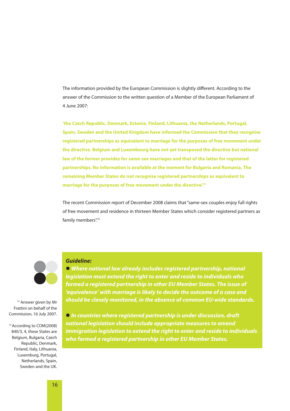The information provided by the European Commission is slightly different. According to the answer of the Commission to the written question of a Member of the European Parliament of 4 June 2007:

**'the Czech Republic, Denmark, Estonia, Finland, Lithuania, the Netherlands, Portugal, Spain, Sweden and the United Kingdom have informed the Commission that they recognise registered partnerships as equivalent to marriage for the purposes of free movement under the directive. Belgium and Luxembourg have not yet transposed the directive but national law of the former provides for same-sex marriages and that of the latter for registered partnerships. No information is available at the moment for Bulgaria and Romania. The remaining Member States do not recognise registered partnerships as equivalent to marriage for the purposes of free movement under the directive'.24**

The recent Commission report of December 2008 claims that "same-sex couples enjoy full rights of free movement and residence in thirteen Member States which consider registered partners as family members".<sup>25</sup>



<sup>24</sup> Answer given by Mr Frattini on behalf of the Commission, 16 July 2007.

<sup>25</sup> According to COM(2008) 840/3, 4, these States are Belgium, Bulgaria, Czech Republic, Denmark, Finland, Italy, Lithuania, Luxemburg, Portugal, Netherlands, Spain, Sweden and the UK.

#### *Guideline:*

- *Where national law already includes registered partnership, national legislation must extend the right to enter and reside to individuals who formed a registered partnership in other EU Member States. The issue of 'equivalence' with marriage is likely to decide the outcome of a case and should be closely monitored, in the absence of common EU-wide standards.*

**· In countries where registered partnership is under discussion, draft** *national legislation should include appropriate measures to amend immigration legislation to extend the right to enter and reside to individuals who formed a registered partnership in other EU Member States.*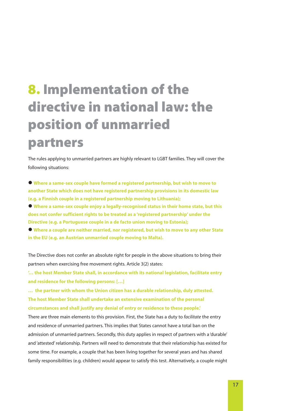# **8. Implementation of the directive in national law: the position of unmarried partners**

The rules applying to unmarried partners are highly relevant to LGBT families. They will cover the following situations:

- **Where a same-sex couple have formed a registered partnership, but wish to move to another State which does not have registered partnership provisions in its domestic law (e.g. a Finnish couple in a registered partnership moving to Lithuania);** - **Where a same-sex couple enjoy a legally-recognised status in their home state, but this does not confer sufficient rights to be treated as a 'registered partnership' under the Directive (e.g. a Portuguese couple in a de facto union moving to Estonia);** - **Where a couple are neither married, nor registered, but wish to move to any other State in the EU (e.g. an Austrian unmarried couple moving to Malta).**

The Directive does not confer an absolute right for people in the above situations to bring their partners when exercising free movement rights. Article 3(2) states:

**'… the host Member State shall, in accordance with its national legislation, facilitate entry and residence for the following persons: […]**

**… the partner with whom the Union citizen has a durable relationship, duly attested. The host Member State shall undertake an extensive examination of the personal circumstances and shall justify any denial of entry or residence to these people.'**

There are three main elements to this provision. First, the State has a duty to facilitate the entry and residence of unmarried partners. This implies that States cannot have a total ban on the admission of unmarried partners. Secondly, this duty applies in respect of partners with a 'durable' and 'attested' relationship. Partners will need to demonstrate that their relationship has existed for some time. For example, a couple that has been living together for several years and has shared family responsibilities (e.g. children) would appear to satisfy this test. Alternatively, a couple might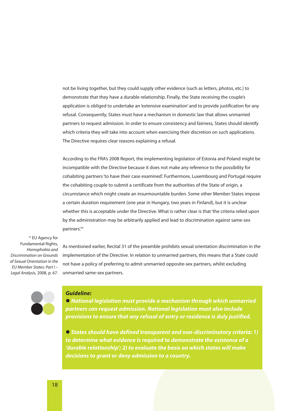not be living together, but they could supply other evidence (such as letters, photos, etc.) to demonstrate that they have a durable relationship. Finally, the State receiving the couple's application is obliged to undertake an 'extensive examination' and to provide justification for any refusal. Consequently, States must have a mechanism in domestic law that allows unmarried partners to request admission. In order to ensure consistency and fairness, States should identify which criteria they will take into account when exercising their discretion on such applications. The Directive requires clear reasons explaining a refusal.

According to the FRA's 2008 Report, the implementing legislation of Estonia and Poland might be incompatible with the Directive because it does not make any reference to the possibility for cohabiting partners 'to have their case examined'. Furthermore, Luxembourg and Portugal require the cohabiting couple to submit a certificate from the authorities of the State of origin, a circumstance which might create an insurmountable burden. Some other Member States impose a certain duration requirement (one year in Hungary, two years in Finland), but it is unclear whether this is acceptable under the Directive. What is rather clear is that 'the criteria relied upon by the administration may be arbitrarily applied and lead to discrimination against same-sex partners'.26

<sup>26</sup> EU Agency for Fundamental Rights, Homophobia and Discrimination on Grounds of Sexual Orientation in the EU Member States: Part I –

As mentioned earlier, Recital 31 of the preamble prohibits sexual orientation discrimination in the implementation of the Directive. In relation to unmarried partners, this means that a State could not have a policy of preferring to admit unmarried opposite-sex partners, whilst excluding Legal Analysis, 2008, p. 67. unmarried same-sex partners.



#### *Guideline:*

- *National legislation must provide a mechanism through which unmarried partners can request admission. National legislation must also include provisions to ensure that any refusal of entry or residence is duly justified.*

- *States should have defined transparent and non-discriminatory criteria: 1) to determine what evidence is required to demonstrate the existence of a 'durable relationship'; 2) to evaluate the basis on which states will make decisions to grant or deny admission to a country.*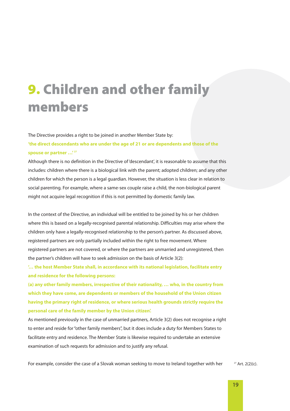## **9. Children and other family members**

The Directive provides a right to be joined in another Member State by:

**'the direct descendants who are under the age of 21 or are dependents and those of the spouse or partner …' <sup>27</sup>**

Although there is no definition in the Directive of 'descendant', it is reasonable to assume that this includes: children where there is a biological link with the parent; adopted children; and any other children for which the person is a legal guardian. However, the situation is less clear in relation to social parenting. For example, where a same-sex couple raise a child, the non-biological parent might not acquire legal recognition if this is not permitted by domestic family law.

In the context of the Directive, an individual will be entitled to be joined by his or her children where this is based on a legally-recognised parental relationship. Difficulties may arise where the children only have a legally-recognised relationship to the person's partner. As discussed above, registered partners are only partially included within the right to free movement. Where registered partners are not covered, or where the partners are unmarried and unregistered, then the partner's children will have to seek admission on the basis of Article 3(2):

**'… the host Member State shall, in accordance with its national legislation, facilitate entry and residence for the following persons:** 

**(a) any other family members, irrespective of their nationality, … who, in the country from which they have come, are dependents or members of the household of the Union citizen having the primary right of residence, or where serious health grounds strictly require the personal care of the family member by the Union citizen'.**

As mentioned previously in the case of unmarried partners, Article 3(2) does not recognise a right to enter and reside for "other family members", but it does include a duty for Members States to facilitate entry and residence. The Member State is likewise required to undertake an extensive examination of such requests for admission and to justify any refusal.

For example, consider the case of a Slovak woman seeking to move to Ireland together with her  $27$  Art. 2(2)(c).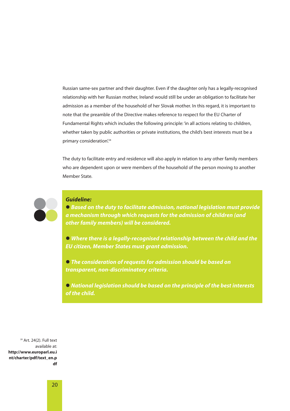Russian same-sex partner and their daughter. Even if the daughter only has a legally-recognised relationship with her Russian mother, Ireland would still be under an obligation to facilitate her admission as a member of the household of her Slovak mother. In this regard, it is important to note that the preamble of the Directive makes reference to respect for the EU Charter of Fundamental Rights which includes the following principle: 'in all actions relating to children, whether taken by public authorities or private institutions, the child's best interests must be a primary consideration.<sup>28</sup>

The duty to facilitate entry and residence will also apply in relation to any other family members who are dependent upon or were members of the household of the person moving to another Member State.



#### *Guideline:*

**• Based on the duty to facilitate admission, national legislation must provide** *a mechanism through which requests for the admission of children (and other family members) will be considered.* 

- **Where there is a legally-recognised relationship between the child and the** *EU citizen, Member States must grant admission.*
- **The consideration of requests for admission should be based on** *transparent, non-discriminatory criteria.*

**• National legislation should be based on the principle of the best interests** *of the child.*

<sup>28</sup> Art. 24(2). Full text available at: **http://www.europarl.eu.i nt/charter/pdf/text\_en.p df**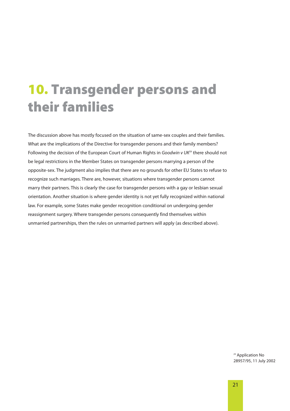### **10. Transgender persons and their families**

The discussion above has mostly focused on the situation of same-sex couples and their families. What are the implications of the Directive for transgender persons and their family members? Following the decision of the European Court of Human Rights in Goodwin v UK<sup>29</sup> there should not be legal restrictions in the Member States on transgender persons marrying a person of the opposite-sex. The judgment also implies that there are no grounds for other EU States to refuse to recognize such marriages. There are, however, situations where transgender persons cannot marry their partners. This is clearly the case for transgender persons with a gay or lesbian sexual orientation. Another situation is where gender identity is not yet fully recognized within national law. For example, some States make gender recognition conditional on undergoing gender reassignment surgery. Where transgender persons consequently find themselves within unmarried partnerships, then the rules on unmarried partners will apply (as described above).

> <sup>29</sup> Application No 28957/95, 11 July 2002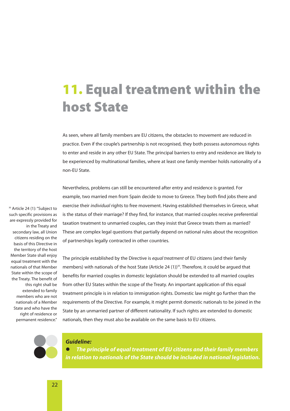### **11. Equal treatment within the host State**

As seen, where all family members are EU citizens, the obstacles to movement are reduced in practice. Even if the couple's partnership is not recognised, they both possess autonomous rights to enter and reside in any other EU State. The principal barriers to entry and residence are likely to be experienced by multinational families, where at least one family member holds nationality of a non-EU State.

Nevertheless, problems can still be encountered after entry and residence is granted. For example, two married men from Spain decide to move to Greece. They both find jobs there and exercise their individual rights to free movement. Having established themselves in Greece, what is the status of their marriage? If they find, for instance, that married couples receive preferential taxation treatment to unmarried couples, can they insist that Greece treats them as married? These are complex legal questions that partially depend on national rules about the recognition of partnerships legally contracted in other countries.

The principle established by the Directive is equal treatment of EU citizens (and their family members) with nationals of the host State (Article 24  $(1)$ )<sup>30</sup>. Therefore, it could be argued that benefits for married couples in domestic legislation should be extended to all married couples from other EU States within the scope of the Treaty. An important application of this equal treatment principle is in relation to immigration rights. Domestic law might go further than the requirements of the Directive. For example, it might permit domestic nationals to be joined in the State by an unmarried partner of different nationality. If such rights are extended to domestic nationals, then they must also be available on the same basis to EU citizens.



#### *Guideline:*

 $\bullet$  *The principle of equal treatment of EU citizens and their family members in relation to nationals of the State should be included in national legislation.* 

are expressly provided for in the Treaty and secondary law, all Union citizens residing on the basis of this Directive in the territory of the host Member State shall enjoy equal treatment with the nationals of that Member State within the scope of the Treaty. The benefit of this right shall be extended to family members who are not nationals of a Member State and who have the right of residence or permanent residence."

<sup>30</sup> Article 24 (1): "Subject to such specific provisions as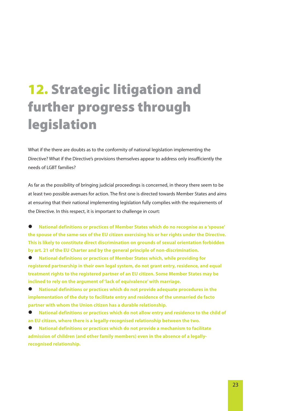# **12. Strategic litigation and further progress through legislation**

What if the there are doubts as to the conformity of national legislation implementing the Directive? What if the Directive's provisions themselves appear to address only insufficiently the needs of LGBT families?

As far as the possibility of bringing judicial proceedings is concerned, in theory there seem to be at least two possible avenues for action. The first one is directed towards Member States and aims at ensuring that their national implementing legislation fully complies with the requirements of the Directive. In this respect, it is important to challenge in court:

 $\bullet$  **National definitions or practices of Member States which do no recognise as a 'spouse' the spouse of the same-sex of the EU citizen exercising his or her rights under the Directive. This is likely to constitute direct discrimination on grounds of sexual orientation forbidden by art. 21 of the EU Charter and by the general principle of non-discrimination.**

 $\bullet$  **National definitions or practices of Member States which, while providing for registered partnership in their own legal system, do not grant entry, residence, and equal treatment rights to the registered partner of an EU citizen. Some Member States may be inclined to rely on the argument of 'lack of equivalence' with marriage.**

 $\bullet$  **National definitions or practices which do not provide adequate procedures in the implementation of the duty to facilitate entry and residence of the unmarried de facto partner with whom the Union citizen has a durable relationship.**

 $\bullet$  **National definitions or practices which do not allow entry and residence to the child of an EU citizen, where there is a legally-recognised relationship between the two.** 

 $\bullet$  **National definitions or practices which do not provide a mechanism to facilitate admission of children (and other family members) even in the absence of a legallyrecognised relationship.**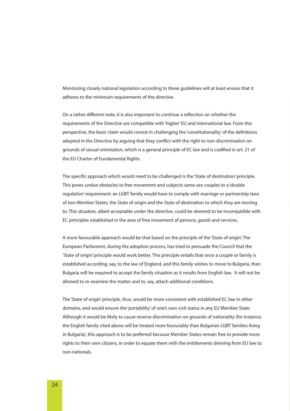Monitoring closely national legislation according to these guidelines will at least ensure that it adheres to the minimum requirements of the directive.

On a rather different note, it is also important to continue a reflection on whether the requirements of the Directive are compatible with 'higher' EU and international law. From this perspective, the basic claim would consist in challenging the 'constitutionality' of the definitions adopted in the Directive by arguing that they conflict with the right to non-discrimination on grounds of sexual orientation, which is a general principle of EC law and is codified in art. 21 of the EU Charter of Fundamental Rights.

The specific approach which would need to be challenged is the 'State of destination' principle. This poses undue obstacles to free movement and subjects same-sex couples to a 'double regulation' requirement: an LGBT family would have to comply with marriage or partnership laws of two Member States, the State of origin and the State of destination to which they are moving to. This situation, albeit acceptable under the directive, could be deemed to be incompatible with EC principles established in the area of free movement of persons, goods and services.

A more favourable approach would be that based on the principle of the 'State of origin'. The European Parliament, during the adoption process, has tried to persuade the Council that the 'State of origin' principle would work better. This principle entails that once a couple or family is established according, say, to the law of England, and this family wishes to move to Bulgaria, then Bulgaria will be required to accept the family situation as it results from English law. It will not be allowed to re-examine the matter and to, say, attach additional conditions.

The 'State of origin' principle, thus, would be more consistent with established EC law in other domains, and would ensure the 'portability' of one's own civil status in any EU Member State. Although it would be likely to cause reverse discrimination on grounds of nationality (for instance, the English family cited above will be treated more favourably than Bulgarian LGBT families living in Bulgaria), this approach is to be preferred because Member States remain free to provide more rights to their own citizens, in order to equate them with the entitlements deriving from EU law to non-nationals.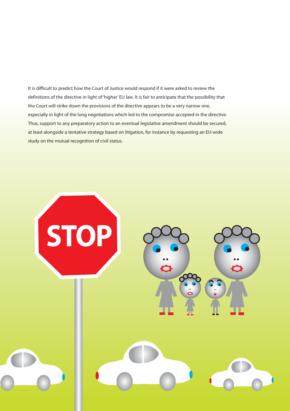It is difficult to predict how the Court of Justice would respond if it were asked to review the definitions of the directive in light of 'higher' EU law. It is fair to anticipate that the possibility that the Court will strike down the provisions of the directive appears to be a very narrow one, especially in light of the long negotiations which led to the compromise accepted in the directive. Thus, support to any preparatory action to an eventual legislative amendment should be secured, at least alongside a tentative strategy based on litigation, for instance by requesting an EU-wide study on the mutual recognition of civil status.

# STOP  $\bullet$  $\blacksquare$  $\boldsymbol{\delta}$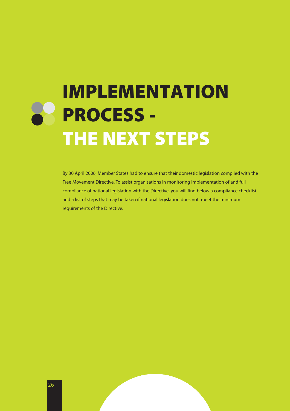# **IMPLEMENTATION PROCESS - THE NEXT STEPS**

By 30 April 2006, Member States had to ensure that their domestic legislation complied with the Free Movement Directive. To assist organisations in monitoring implementation of and full compliance of national legislation with the Directive, you will find below a compliance checklist and a list of steps that may be taken if national legislation does not meet the minimum requirements of the Directive.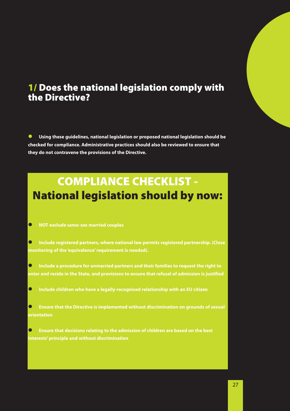### **1/ Does the national legislation comply with the Directive?**

 $\bullet$  **Using these guidelines, national legislation or proposed national legislation should be checked for compliance. Administrative practices should also be reviewed to ensure that they do not contravene the provisions of the Directive.**

### **COMPLIANCE CHECKLIST - National legislation should by now:**

- $\bullet$ **NOT exclude same-sex married couples**
- $\bullet$  **Include registered partners, where national law permits registered partnership. (Close monitoring of the 'equivalence' requirement is needed).**
- $\bullet$  **Include a procedure for unmarried partners and their families to request the right to enter and reside in the State, and provisions to ensure that refusal of admission is justified**
- $\bullet$ **Include children who have a legally-recognised relationship with an EU citizen**
- $\bullet$  **Ensure that the Directive is implemented without discrimination on grounds of sexual orientation**
- $\bullet$  **Ensure that decisions relating to the admission of children are based on the best interests' principle and without discrimination**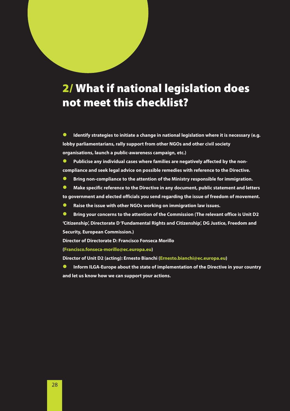### **2/ What if national legislation does not meet this checklist?**

 $\bullet$  **Identify strategies to initiate a change in national legislation where it is necessary (e.g. lobby parliamentarians, rally support from other NGOs and other civil society organisations, launch a public-awareness campaign, etc.)**

- **Publicise any individual cases where families are negatively affected by the noncompliance and seek legal advice on possible remedies with reference to the Directive.**

-**Bring non-compliance to the attention of the Ministry responsible for immigration.** 

 $\bullet$  **Make specific reference to the Directive in any document, public statement and letters to government and elected officials you send regarding the issue of freedom of movement.**

- -**Raise the issue with other NGOs working on immigration law issues.**
- $\bullet$  **Bring your concerns to the attention of the Commission (The relevant office is Unit D2 'Citizenship', Directorate D 'Fundamental Rights and Citizenship', DG Justice, Freedom and Security, European Commission.)**

**Director of Directorate D: Francisco Fonseca Morillo** 

**(Francisco.fonseca-morillo@ec.europa.eu)** 

**Director of Unit D2 (acting): Ernesto Bianchi (Ernesto.bianchi@ec.europa.eu)** 

 $\bullet$  **Inform ILGA-Europe about the state of implementation of the Directive in your country and let us know how we can support your actions.**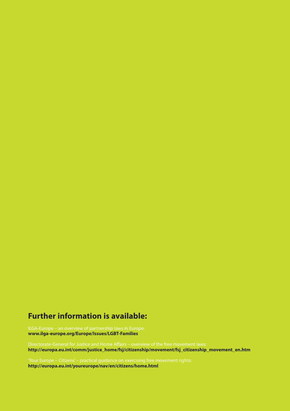### **Further information is available:**

**www.ilga-europe.org/Europe/Issues/LGBT-Families**

**http://europa.eu.int/comm/justice\_home/fsj/citizenship/movement/fsj\_citizenship\_movement\_en.htm**

**http://europa.eu.int/youreurope/nav/en/citizens/home.html**